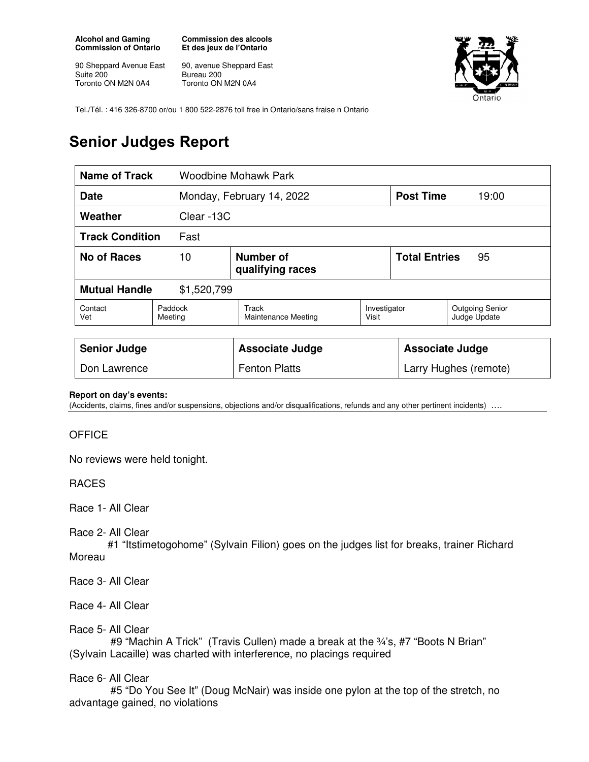**Alcohol and Gaming Commission of Ontario** 

90 Sheppard Avenue East Suite 200 Toronto ON M2N 0A4

**Commission des alcools Et des jeux de l'Ontario** 

90, avenue Sheppard East Bureau 200 Toronto ON M2N 0A4



Tel./Tél. : 416 326-8700 or/ou 1 800 522-2876 toll free in Ontario/sans fraise n Ontario

## **Senior Judges Report**

| <b>Name of Track</b>                |                                     | Woodbine Mohawk Park                |                       |                            |                                        |  |
|-------------------------------------|-------------------------------------|-------------------------------------|-----------------------|----------------------------|----------------------------------------|--|
| <b>Date</b>                         |                                     | Monday, February 14, 2022           |                       | <b>Post Time</b>           | 19:00                                  |  |
| Weather<br>Clear -13C               |                                     |                                     |                       |                            |                                        |  |
| <b>Track Condition</b><br>Fast      |                                     |                                     |                       |                            |                                        |  |
| <b>No of Races</b>                  | Number of<br>10<br>qualifying races |                                     |                       | <b>Total Entries</b><br>95 |                                        |  |
| <b>Mutual Handle</b><br>\$1,520,799 |                                     |                                     |                       |                            |                                        |  |
| Contact<br>Vet                      | Paddock<br>Meeting                  | Track<br><b>Maintenance Meeting</b> | Investigator<br>Visit |                            | <b>Outgoing Senior</b><br>Judge Update |  |
|                                     |                                     |                                     |                       |                            |                                        |  |
| <b>Senior Judge</b>                 |                                     | <b>Associate Judge</b>              |                       | <b>Associate Judge</b>     |                                        |  |
| Don Lawrence                        |                                     | <b>Fenton Platts</b>                |                       |                            | Larry Hughes (remote)                  |  |

## **Report on day's events:**

(Accidents, claims, fines and/or suspensions, objections and/or disqualifications, refunds and any other pertinent incidents) ….

## **OFFICE**

No reviews were held tonight.

RACES

Race 1- All Clear

Race 2- All Clear

 #1 "Itstimetogohome" (Sylvain Filion) goes on the judges list for breaks, trainer Richard Moreau

Race 3- All Clear

Race 4- All Clear

Race 5- All Clear

#9 "Machin A Trick" (Travis Cullen) made a break at the 34's, #7 "Boots N Brian" (Sylvain Lacaille) was charted with interference, no placings required

## Race 6- All Clear

 #5 "Do You See It" (Doug McNair) was inside one pylon at the top of the stretch, no advantage gained, no violations